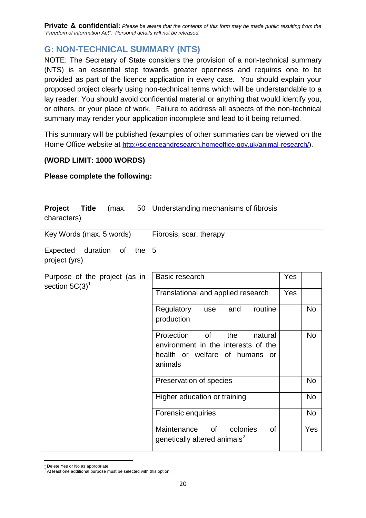**Private & confidential:** *Please be aware that the contents of this form may be made public resulting from the "Freedom of information Act". Personal details will not be released.*

## **G: NON-TECHNICAL SUMMARY (NTS)**

NOTE: The Secretary of State considers the provision of a non-technical summary (NTS) is an essential step towards greater openness and requires one to be provided as part of the licence application in every case. You should explain your proposed project clearly using non-technical terms which will be understandable to a lay reader. You should avoid confidential material or anything that would identify you, or others, or your place of work. Failure to address all aspects of the non-technical summary may render your application incomplete and lead to it being returned.

This summary will be published (examples of other summaries can be viewed on the Home Office website at [http://scienceandresearch.homeoffice.gov.uk/animal-research/\)](http://scienceandresearch.homeoffice.gov.uk/animal-research/).

## **(WORD LIMIT: 1000 WORDS)**

## **Please complete the following:**

| Project<br><b>Title</b><br>50<br>(max.<br>characters)     | Understanding mechanisms of fibrosis                                                                                          |     |           |  |  |
|-----------------------------------------------------------|-------------------------------------------------------------------------------------------------------------------------------|-----|-----------|--|--|
| Key Words (max. 5 words)                                  | Fibrosis, scar, therapy                                                                                                       |     |           |  |  |
| duration<br><b>of</b><br>the<br>Expected<br>project (yrs) | 5                                                                                                                             |     |           |  |  |
| Purpose of the project (as in<br>section $5C(3)^1$        | Basic research                                                                                                                | Yes |           |  |  |
|                                                           | Translational and applied research                                                                                            | Yes |           |  |  |
|                                                           | routine<br>Regulatory<br>and<br>use<br>production                                                                             |     | <b>No</b> |  |  |
|                                                           | Protection<br><b>of</b><br>the<br>natural<br>environment in the interests of the<br>health or welfare of humans or<br>animals |     | <b>No</b> |  |  |
|                                                           | Preservation of species                                                                                                       |     | No        |  |  |
|                                                           | Higher education or training                                                                                                  |     | <b>No</b> |  |  |
|                                                           | Forensic enquiries                                                                                                            |     | <b>No</b> |  |  |
|                                                           | colonies<br>Maintenance<br><b>of</b><br><b>of</b><br>genetically altered animals <sup>2</sup>                                 |     | Yes       |  |  |

 $\overline{a}$  $<sup>1</sup>$  Delete Yes or No as appropriate.</sup>

<sup>&</sup>lt;sup>2</sup> At least one additional purpose must be selected with this option.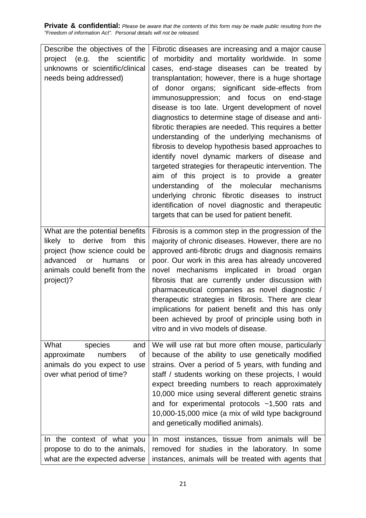**Private & confidential:** *Please be aware that the contents of this form may be made public resulting from the "Freedom of information Act". Personal details will not be released.* 

| Describe the objectives of the                                                                                                                                                  | Fibrotic diseases are increasing and a major cause                                                                                                                                                                                                                                                                                                                                                                                                                                                                                                                                                                                                                                                                                                                                                                                           |
|---------------------------------------------------------------------------------------------------------------------------------------------------------------------------------|----------------------------------------------------------------------------------------------------------------------------------------------------------------------------------------------------------------------------------------------------------------------------------------------------------------------------------------------------------------------------------------------------------------------------------------------------------------------------------------------------------------------------------------------------------------------------------------------------------------------------------------------------------------------------------------------------------------------------------------------------------------------------------------------------------------------------------------------|
| the<br>scientific<br>e.g.)<br>project                                                                                                                                           | of morbidity and mortality worldwide. In some                                                                                                                                                                                                                                                                                                                                                                                                                                                                                                                                                                                                                                                                                                                                                                                                |
| unknowns or scientific/clinical<br>needs being addressed)                                                                                                                       | cases, end-stage diseases can be treated by<br>transplantation; however, there is a huge shortage<br>of donor organs; significant side-effects from<br>immunosuppression; and focus on end-stage<br>disease is too late. Urgent development of novel<br>diagnostics to determine stage of disease and anti-<br>fibrotic therapies are needed. This requires a better<br>understanding of the underlying mechanisms of<br>fibrosis to develop hypothesis based approaches to<br>identify novel dynamic markers of disease and<br>targeted strategies for therapeutic intervention. The<br>aim of this project is to provide a greater<br>understanding of the molecular mechanisms<br>underlying chronic fibrotic diseases to instruct<br>identification of novel diagnostic and therapeutic<br>targets that can be used for patient benefit. |
| What are the potential benefits<br>likely to derive from this<br>project (how science could be<br>advanced<br>humans<br>or<br>or<br>animals could benefit from the<br>project)? | Fibrosis is a common step in the progression of the<br>majority of chronic diseases. However, there are no<br>approved anti-fibrotic drugs and diagnosis remains<br>poor. Our work in this area has already uncovered<br>novel mechanisms implicated in broad organ<br>fibrosis that are currently under discussion with<br>pharmaceutical companies as novel diagnostic /<br>therapeutic strategies in fibrosis. There are clear<br>implications for patient benefit and this has only<br>been achieved by proof of principle using both in<br>vitro and in vivo models of disease.                                                                                                                                                                                                                                                         |
| What<br>species<br>and<br>numbers<br>of<br>approximate<br>animals do you expect to use<br>over what period of time?                                                             | We will use rat but more often mouse, particularly<br>because of the ability to use genetically modified<br>strains. Over a period of 5 years, with funding and<br>staff / students working on these projects, I would<br>expect breeding numbers to reach approximately<br>10,000 mice using several different genetic strains<br>and for experimental protocols $~1,500$ rats and<br>10,000-15,000 mice (a mix of wild type background<br>and genetically modified animals).                                                                                                                                                                                                                                                                                                                                                               |
| In the context of what you<br>propose to do to the animals,<br>what are the expected adverse                                                                                    | In most instances, tissue from animals will be<br>removed for studies in the laboratory. In some<br>instances, animals will be treated with agents that                                                                                                                                                                                                                                                                                                                                                                                                                                                                                                                                                                                                                                                                                      |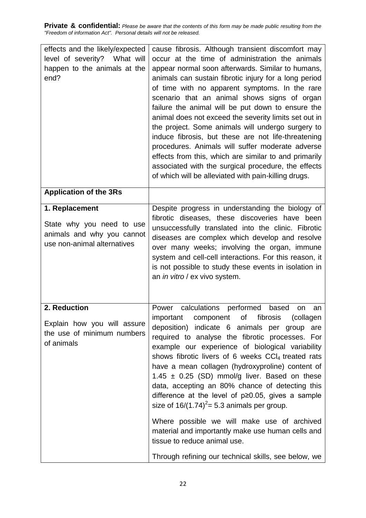**Private & confidential:** *Please be aware that the contents of this form may be made public resulting from the "Freedom of information Act". Personal details will not be released.*

| effects and the likely/expected<br>level of severity? What will<br>happen to the animals at the<br>end?  | cause fibrosis. Although transient discomfort may<br>occur at the time of administration the animals<br>appear normal soon afterwards. Similar to humans,<br>animals can sustain fibrotic injury for a long period<br>of time with no apparent symptoms. In the rare<br>scenario that an animal shows signs of organ<br>failure the animal will be put down to ensure the<br>animal does not exceed the severity limits set out in<br>the project. Some animals will undergo surgery to<br>induce fibrosis, but these are not life-threatening<br>procedures. Animals will suffer moderate adverse<br>effects from this, which are similar to and primarily<br>associated with the surgical procedure, the effects<br>of which will be alleviated with pain-killing drugs.                       |
|----------------------------------------------------------------------------------------------------------|--------------------------------------------------------------------------------------------------------------------------------------------------------------------------------------------------------------------------------------------------------------------------------------------------------------------------------------------------------------------------------------------------------------------------------------------------------------------------------------------------------------------------------------------------------------------------------------------------------------------------------------------------------------------------------------------------------------------------------------------------------------------------------------------------|
| <b>Application of the 3Rs</b>                                                                            |                                                                                                                                                                                                                                                                                                                                                                                                                                                                                                                                                                                                                                                                                                                                                                                                  |
| 1. Replacement<br>State why you need to use<br>animals and why you cannot<br>use non-animal alternatives | Despite progress in understanding the biology of<br>fibrotic diseases, these discoveries have been<br>unsuccessfully translated into the clinic. Fibrotic<br>diseases are complex which develop and resolve<br>over many weeks; involving the organ, immune<br>system and cell-cell interactions. For this reason, it<br>is not possible to study these events in isolation in<br>an in vitro / ex vivo system.                                                                                                                                                                                                                                                                                                                                                                                  |
| 2. Reduction<br>Explain how you will assure<br>the use of minimum numbers<br>of animals                  | calculations performed<br>based<br>Power<br>an<br>on<br>important component of fibrosis (collagen<br>deposition) indicate 6 animals per group are<br>required to analyse the fibrotic processes. For<br>example our experience of biological variability<br>shows fibrotic livers of 6 weeks CCl <sub>4</sub> treated rats<br>have a mean collagen (hydroxyproline) content of<br>1.45 $\pm$ 0.25 (SD) mmol/g liver. Based on these<br>data, accepting an 80% chance of detecting this<br>difference at the level of $p \ge 0.05$ , gives a sample<br>size of $16/(1.74)^2 = 5.3$ animals per group.<br>Where possible we will make use of archived<br>material and importantly make use human cells and<br>tissue to reduce animal use.<br>Through refining our technical skills, see below, we |